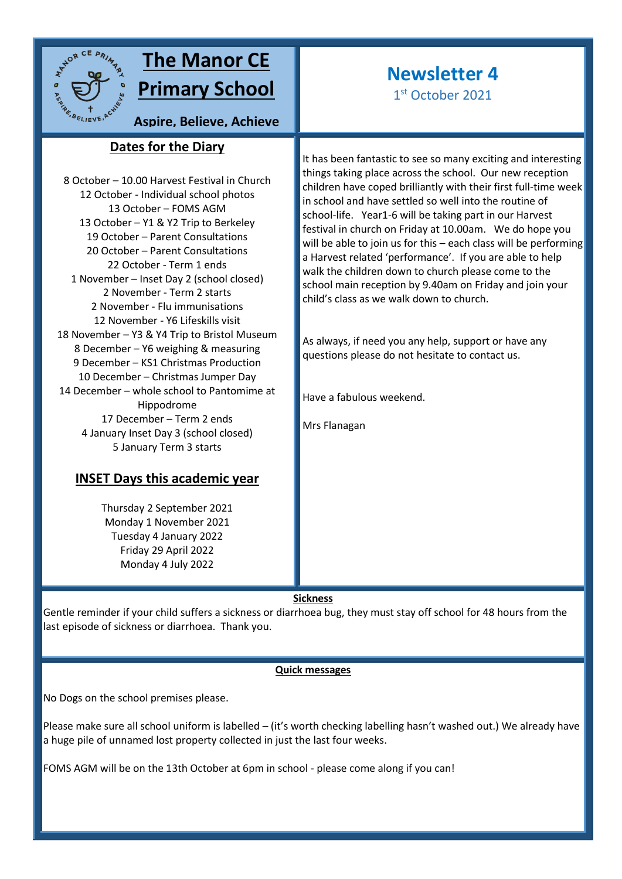

# **The Manor CE Primary School**

# **Newsletter 4**

1st October 2021

**Aspire, Believe, Achieve**

## **Dates for the Diary sky**

8 October – 10.00 Harvest Festival in Church 12 October - Individual school photos 13 October – FOMS AGM 13 October – Y1 & Y2 Trip to Berkeley 19 October – Parent Consultations 20 October – Parent Consultations 22 October - Term 1 ends 1 November – Inset Day 2 (school closed) 2 November - Term 2 starts 2 November - Flu immunisations 12 November - Y6 Lifeskills visit 18 November – Y3 & Y4 Trip to Bristol Museum 8 December – Y6 weighing & measuring 9 December – KS1 Christmas Production 10 December – Christmas Jumper Day 14 December – whole school to Pantomime at Hippodrome 17 December – Term 2 ends 4 January Inset Day 3 (school closed) 5 January Term 3 starts

## **INSET Days this academic year**

Thursday 2 September 2021 Monday 1 November 2021 Tuesday 4 January 2022 Friday 29 April 2022 Monday 4 July 2022

It has been fantastic to see so many exciting and interesting things taking place across the school. Our new reception children have coped brilliantly with their first full-time week in school and have settled so well into the routine of school-life. Year1-6 will be taking part in our Harvest festival in church on Friday at 10.00am. We do hope you will be able to join us for this – each class will be performing a Harvest related 'performance'. If you are able to help walk the children down to church please come to the school main reception by 9.40am on Friday and join your child's class as we walk down to church.

As always, if need you any help, support or have any questions please do not hesitate to contact us.

Have a fabulous weekend.

Mrs Flanagan

#### **Sickness**

Gentle reminder if your child suffers a sickness or diarrhoea bug, they must stay off school for 48 hours from the last episode of sickness or diarrhoea. Thank you.

### **Quick messages**

No Dogs on the school premises please.

Please make sure all school uniform is labelled – (it's worth checking labelling hasn't washed out.) We already have a huge pile of unnamed lost property collected in just the last four weeks.

FOMS AGM will be on the 13th October at 6pm in school - please come along if you can!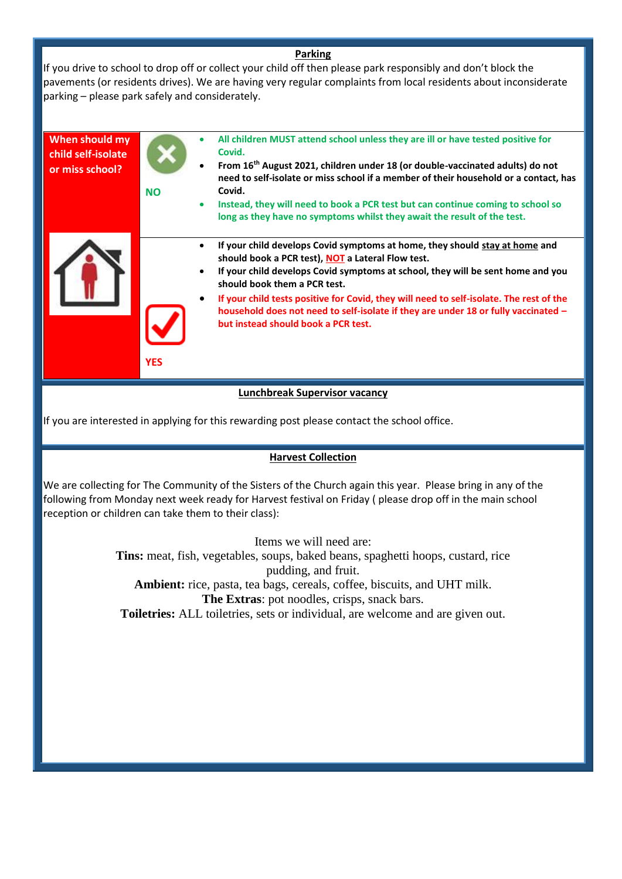#### **Parking**

If you drive to school to drop off or collect your child off then please park responsibly and don't block the pavements (or residents drives). We are having very regular complaints from local residents about inconsiderate parking – please park safely and considerately.

| When should my<br>child self-isolate<br>or miss school? | <b>NO</b>  | All children MUST attend school unless they are ill or have tested positive for<br>Covid.<br>From 16 <sup>th</sup> August 2021, children under 18 (or double-vaccinated adults) do not<br>need to self-isolate or miss school if a member of their household or a contact, has<br>Covid.<br>Instead, they will need to book a PCR test but can continue coming to school so<br>$\bullet$<br>long as they have no symptoms whilst they await the result of the test.                           |
|---------------------------------------------------------|------------|-----------------------------------------------------------------------------------------------------------------------------------------------------------------------------------------------------------------------------------------------------------------------------------------------------------------------------------------------------------------------------------------------------------------------------------------------------------------------------------------------|
|                                                         | <b>YES</b> | If your child develops Covid symptoms at home, they should stay at home and<br>٠<br>should book a PCR test), NOT a Lateral Flow test.<br>If your child develops Covid symptoms at school, they will be sent home and you<br>should book them a PCR test.<br>If your child tests positive for Covid, they will need to self-isolate. The rest of the<br>$\bullet$<br>household does not need to self-isolate if they are under 18 or fully vaccinated -<br>but instead should book a PCR test. |
| Lunchbreak Supervisor vacancy                           |            |                                                                                                                                                                                                                                                                                                                                                                                                                                                                                               |

If you are interested in applying for this rewarding post please contact the school office.

#### **Harvest Collection**

We are collecting for The Community of the Sisters of the Church again this year. Please bring in any of the following from Monday next week ready for Harvest festival on Friday ( please drop off in the main school reception or children can take them to their class):

Items we will need are:

**Tins:** meat, fish, vegetables, soups, baked beans, spaghetti hoops, custard, rice pudding, and fruit. **Ambient:** rice, pasta, tea bags, cereals, coffee, biscuits, and UHT milk. **The Extras**: pot noodles, crisps, snack bars.

**Toiletries:** ALL toiletries, sets or individual, are welcome and are given out.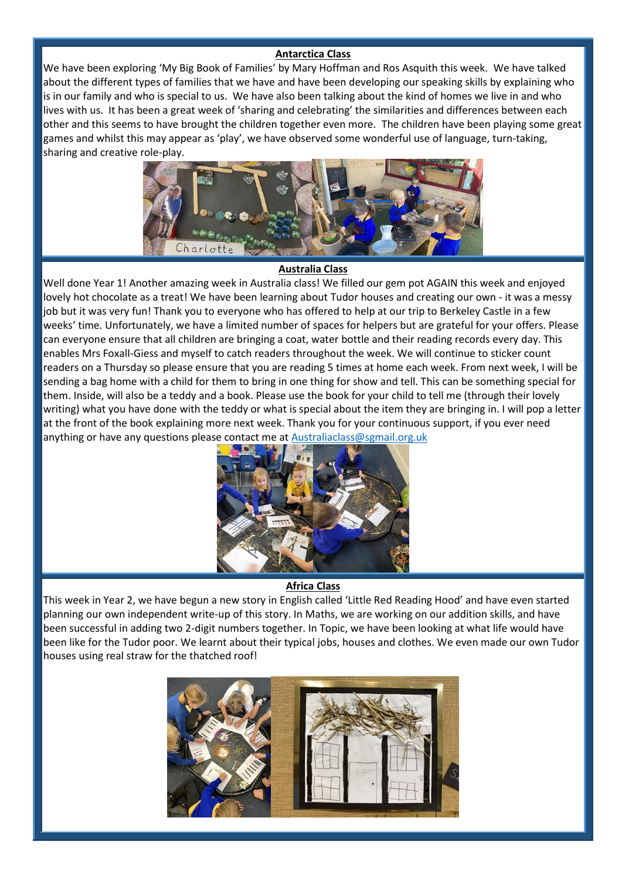#### **Antarctica Class**

We have been exploring 'My Big Book of Families' by Mary Hoffman and Ros Asquith this week. We have talked about the different types of families that we have and have been developing our speaking skills by explaining who is in our family and who is special to us. We have also been talking about the kind of homes we live in and who lives with us. It has been a great week of 'sharing and celebrating' the similarities and differences between each other and this seems to have brought the children together even more. The children have been playing some great games and whilst this may appear as 'play', we have observed some wonderful use of language, turn-taking, sharing and creative role-play.



#### **Australia Class**

Well done Year 1! Another amazing week in Australia class! We filled our gem pot AGAIN this week and enjoyed lovely hot chocolate as a treat! We have been learning about Tudor houses and creating our own - it was a messy job but it was very fun! Thank you to everyone who has offered to help at our trip to Berkeley Castle in a few weeks' time. Unfortunately, we have a limited number of spaces for helpers but are grateful for your offers. Please can everyone ensure that all children are bringing a coat, water bottle and their reading records every day. This enables Mrs Foxall-Giess and myself to catch readers throughout the week. We will continue to sticker count readers on a Thursday so please ensure that you are reading 5 times at home each week. From next week, I will be sending a bag home with a child for them to bring in one thing for show and tell. This can be something special for them. Inside, will also be a teddy and a book. Please use the book for your child to tell me (through their lovely writing) what you have done with the teddy or what is special about the item they are bringing in. I will pop a letter at the front of the book explaining more next week. Thank you for your continuous support, if you ever need anything or have any questions please contact me at [Australiaclass@sgmail.org.uk](mailto:Australiaclass@sgmail.org.uk)



#### **Africa Class**

This week in Year 2, we have begun a new story in English called 'Little Red Reading Hood' and have even started planning our own independent write-up of this story. In Maths, we are working on our addition skills, and have been successful in adding two 2-digit numbers together. In Topic, we have been looking at what life would have been like for the Tudor poor. We learnt about their typical jobs, houses and clothes. We even made our own Tudor houses using real straw for the thatched roof!

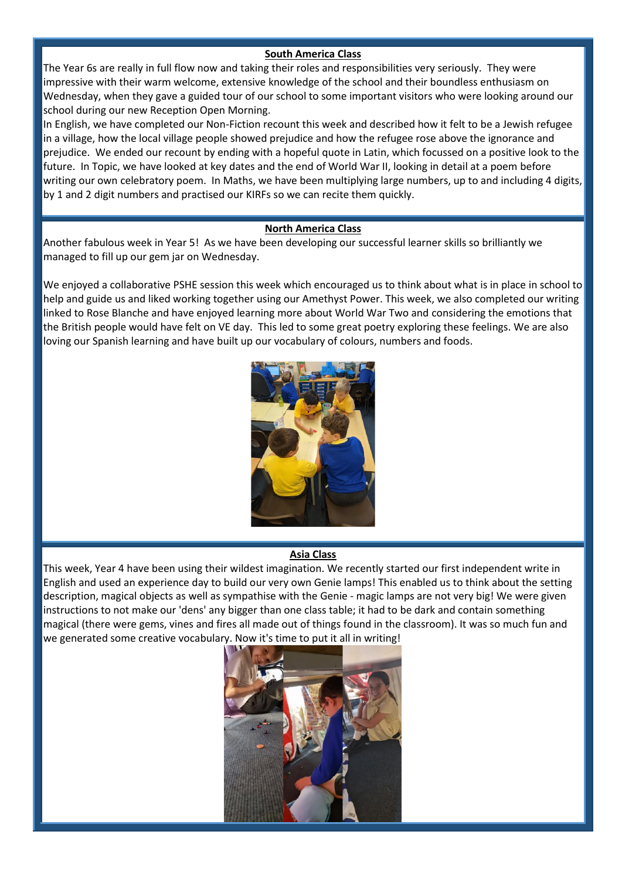### **South America Class**

The Year 6s are really in full flow now and taking their roles and responsibilities very seriously. They were impressive with their warm welcome, extensive knowledge of the school and their boundless enthusiasm on Wednesday, when they gave a guided tour of our school to some important visitors who were looking around our school during our new Reception Open Morning.

In English, we have completed our Non-Fiction recount this week and described how it felt to be a Jewish refugee in a village, how the local village people showed prejudice and how the refugee rose above the ignorance and prejudice. We ended our recount by ending with a hopeful quote in Latin, which focussed on a positive look to the future. In Topic, we have looked at key dates and the end of World War II, looking in detail at a poem before writing our own celebratory poem. In Maths, we have been multiplying large numbers, up to and including 4 digits, by 1 and 2 digit numbers and practised our KIRFs so we can recite them quickly.

#### **North America Class**

Another fabulous week in Year 5! As we have been developing our successful learner skills so brilliantly we managed to fill up our gem jar on Wednesday.

We enjoyed a collaborative PSHE session this week which encouraged us to think about what is in place in school to help and guide us and liked working together using our Amethyst Power. This week, we also completed our writing linked to Rose Blanche and have enjoyed learning more about World War Two and considering the emotions that the British people would have felt on VE day. This led to some great poetry exploring these feelings. We are also loving our Spanish learning and have built up our vocabulary of colours, numbers and foods.



#### **Asia Class**

This week, Year 4 have been using their wildest imagination. We recently started our first independent write in English and used an experience day to build our very own Genie lamps! This enabled us to think about the setting description, magical objects as well as sympathise with the Genie - magic lamps are not very big! We were given instructions to not make our 'dens' any bigger than one class table; it had to be dark and contain something magical (there were gems, vines and fires all made out of things found in the classroom). It was so much fun and we generated some creative vocabulary. Now it's time to put it all in writing!

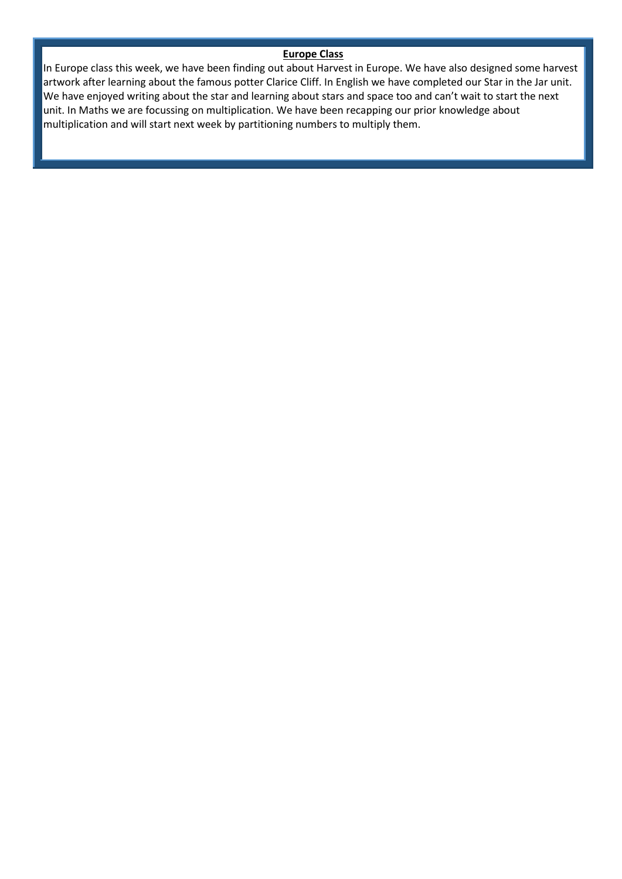### **Europe Class**

In Europe class this week, we have been finding out about Harvest in Europe. We have also designed some harvest artwork after learning about the famous potter Clarice Cliff. In English we have completed our Star in the Jar unit. We have enjoyed writing about the star and learning about stars and space too and can't wait to start the next unit. In Maths we are focussing on multiplication. We have been recapping our prior knowledge about multiplication and will start next week by partitioning numbers to multiply them.